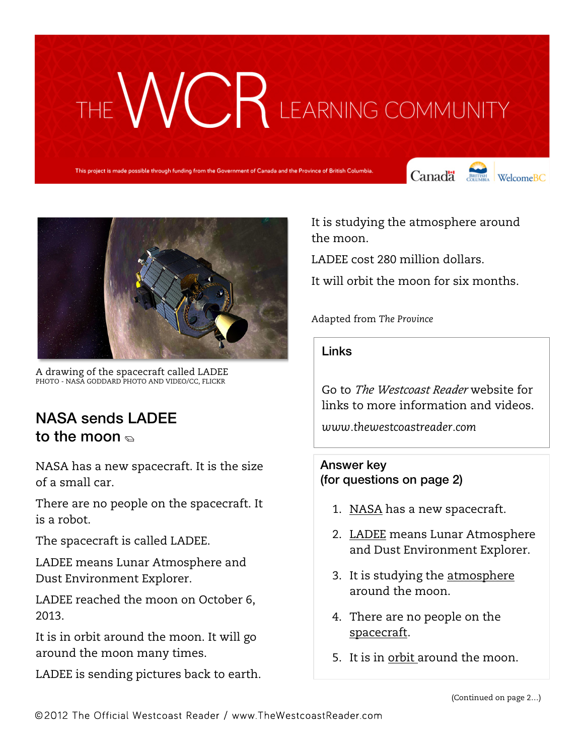## THE WURK LEARNING COMMUNITY

This project is made possible through funding from the Government of Canada and the Province of British Columbia.

Canada **Strategy** Welcome BC





A drawing of the spacecraft called LADEE PHOTO - NASA GODDARD PHOTO AND VIDEO/CC, FLICKR

## NASA sends LADEE to the moon  $\epsilon$

NASA has a new spacecraft. It is the size of a small car.

There are no people on the spacecraft. It is a robot.

The spacecraft is called LADEE.

LADEE means Lunar Atmosphere and Dust Environment Explorer.

LADEE reached the moon on October 6, 2013.

It is in orbit around the moon. It will go around the moon many times.

LADEE is sending pictures back to earth.

It is studying the atmosphere around the moon.

LADEE cost 280 million dollars.

It will orbit the moon for six months.

Adapted from *The Province* 

Links

Go to *The Westcoast Reader* website for links to more information and videos.

*www.thewestcoastreader.com*

Answer key (for questions on page 2)

- 1. NASA has a new spacecraft.
- 2. LADEE means Lunar Atmosphere and Dust Environment Explorer.
- 3. It is studying the atmosphere around the moon.
- 4. There are no people on the spacecraft.
- 5. It is in orbit around the moon.